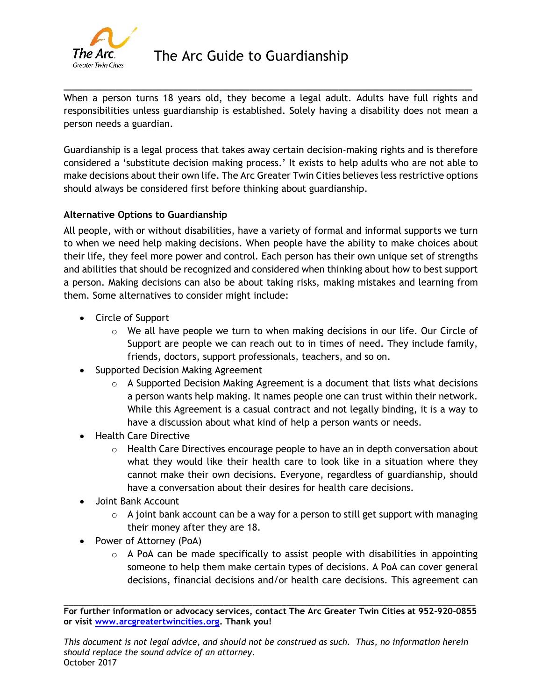

When a person turns 18 years old, they become a legal adult. Adults have full rights and responsibilities unless guardianship is established. Solely having a disability does not mean a person needs a guardian.

\_\_\_\_\_\_\_\_\_\_\_\_\_\_\_\_\_\_\_\_\_\_\_\_\_\_\_\_\_\_\_\_\_\_\_\_\_\_\_\_\_\_\_\_\_\_\_\_\_\_\_\_\_\_\_

Guardianship is a legal process that takes away certain decision-making rights and is therefore considered a 'substitute decision making process.' It exists to help adults who are not able to make decisions about their own life. The Arc Greater Twin Cities believes less restrictive options should always be considered first before thinking about guardianship.

# **Alternative Options to Guardianship**

All people, with or without disabilities, have a variety of formal and informal supports we turn to when we need help making decisions. When people have the ability to make choices about their life, they feel more power and control. Each person has their own unique set of strengths and abilities that should be recognized and considered when thinking about how to best support a person. Making decisions can also be about taking risks, making mistakes and learning from them. Some alternatives to consider might include:

- Circle of Support
	- $\circ$  We all have people we turn to when making decisions in our life. Our Circle of Support are people we can reach out to in times of need. They include family, friends, doctors, support professionals, teachers, and so on.
- Supported Decision Making Agreement
	- $\circ$  A Supported Decision Making Agreement is a document that lists what decisions a person wants help making. It names people one can trust within their network. While this Agreement is a casual contract and not legally binding, it is a way to have a discussion about what kind of help a person wants or needs.
- Health Care Directive
	- $\circ$  Health Care Directives encourage people to have an in depth conversation about what they would like their health care to look like in a situation where they cannot make their own decisions. Everyone, regardless of guardianship, should have a conversation about their desires for health care decisions.
- Joint Bank Account
	- $\circ$  A joint bank account can be a way for a person to still get support with managing their money after they are 18.
- Power of Attorney (PoA)
	- $\circ$  A PoA can be made specifically to assist people with disabilities in appointing someone to help them make certain types of decisions. A PoA can cover general decisions, financial decisions and/or health care decisions. This agreement can

\_\_\_\_\_\_\_\_\_\_\_\_\_\_\_\_\_\_\_\_\_\_\_\_\_\_\_\_\_\_\_\_\_\_\_\_\_\_\_\_\_\_\_\_\_\_\_\_\_\_\_\_\_\_\_\_\_\_\_\_\_\_\_\_\_\_\_\_\_\_\_\_\_\_\_\_\_\_\_\_\_\_\_\_\_ **For further information or advocacy services, contact The Arc Greater Twin Cities at 952-920-0855 or visit [www.arcgreatertwincities.org.](http://www.arcgreatertwincities.org/) Thank you!**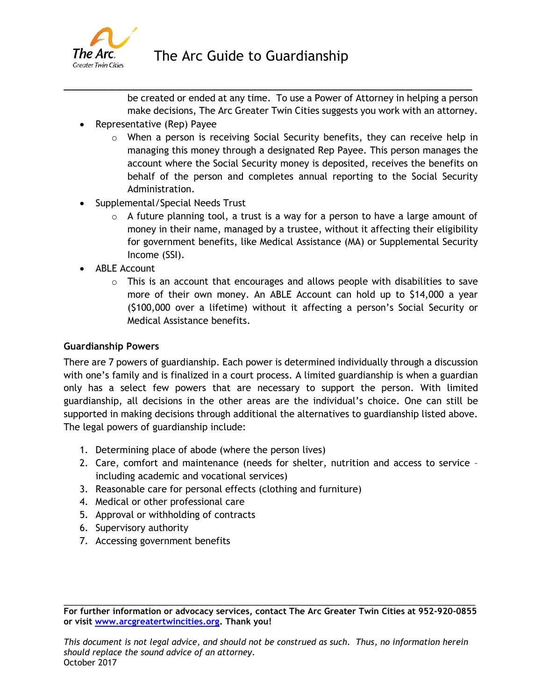

\_\_\_\_\_\_\_\_\_\_\_\_\_\_\_\_\_\_\_\_\_\_\_\_\_\_\_\_\_\_\_\_\_\_\_\_\_\_\_\_\_\_\_\_\_\_\_\_\_\_\_\_\_\_\_

be created or ended at any time. To use a Power of Attorney in helping a person make decisions, The Arc Greater Twin Cities suggests you work with an attorney.

- Representative (Rep) Payee
	- $\circ$  When a person is receiving Social Security benefits, they can receive help in managing this money through a designated Rep Payee. This person manages the account where the Social Security money is deposited, receives the benefits on behalf of the person and completes annual reporting to the Social Security Administration.
- Supplemental/Special Needs Trust
	- $\circ$  A future planning tool, a trust is a way for a person to have a large amount of money in their name, managed by a trustee, without it affecting their eligibility for government benefits, like Medical Assistance (MA) or Supplemental Security Income (SSI).
- ABLE Account
	- $\circ$  This is an account that encourages and allows people with disabilities to save more of their own money. An ABLE Account can hold up to \$14,000 a year (\$100,000 over a lifetime) without it affecting a person's Social Security or Medical Assistance benefits.

### **Guardianship Powers**

There are 7 powers of guardianship. Each power is determined individually through a discussion with one's family and is finalized in a court process. A limited guardianship is when a guardian only has a select few powers that are necessary to support the person. With limited guardianship, all decisions in the other areas are the individual's choice. One can still be supported in making decisions through additional the alternatives to guardianship listed above. The legal powers of guardianship include:

- 1. Determining place of abode (where the person lives)
- 2. Care, comfort and maintenance (needs for shelter, nutrition and access to service including academic and vocational services)
- 3. Reasonable care for personal effects (clothing and furniture)
- 4. Medical or other professional care
- 5. Approval or withholding of contracts
- 6. Supervisory authority
- 7. Accessing government benefits

\_\_\_\_\_\_\_\_\_\_\_\_\_\_\_\_\_\_\_\_\_\_\_\_\_\_\_\_\_\_\_\_\_\_\_\_\_\_\_\_\_\_\_\_\_\_\_\_\_\_\_\_\_\_\_\_\_\_\_\_\_\_\_\_\_\_\_\_\_\_\_\_\_\_\_\_\_\_\_\_\_\_\_\_\_ **For further information or advocacy services, contact The Arc Greater Twin Cities at 952-920-0855 or visit [www.arcgreatertwincities.org.](http://www.arcgreatertwincities.org/) Thank you!**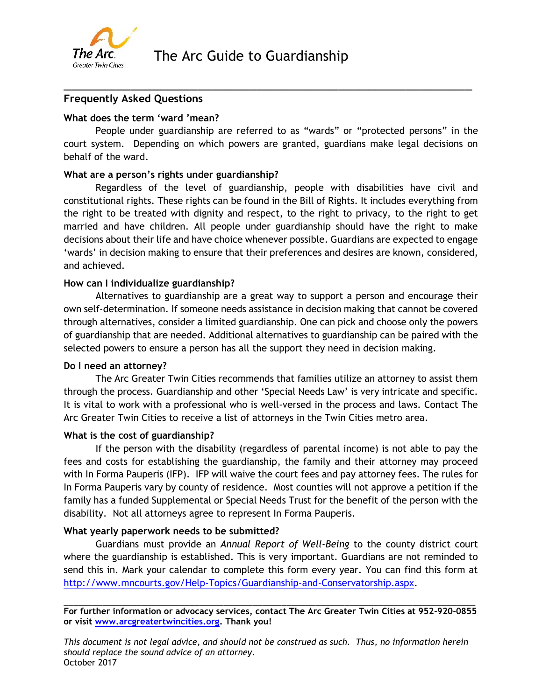

## **Frequently Asked Questions**

### **What does the term 'ward 'mean?**

People under guardianship are referred to as "wards" or "protected persons" in the court system. Depending on which powers are granted, guardians make legal decisions on behalf of the ward.

\_\_\_\_\_\_\_\_\_\_\_\_\_\_\_\_\_\_\_\_\_\_\_\_\_\_\_\_\_\_\_\_\_\_\_\_\_\_\_\_\_\_\_\_\_\_\_\_\_\_\_\_\_\_\_

#### **What are a person's rights under guardianship?**

Regardless of the level of guardianship, people with disabilities have civil and constitutional rights. These rights can be found in the Bill of Rights. It includes everything from the right to be treated with dignity and respect, to the right to privacy, to the right to get married and have children. All people under guardianship should have the right to make decisions about their life and have choice whenever possible. Guardians are expected to engage 'wards' in decision making to ensure that their preferences and desires are known, considered, and achieved.

#### **How can I individualize guardianship?**

Alternatives to guardianship are a great way to support a person and encourage their own self-determination. If someone needs assistance in decision making that cannot be covered through alternatives, consider a limited guardianship. One can pick and choose only the powers of guardianship that are needed. Additional alternatives to guardianship can be paired with the selected powers to ensure a person has all the support they need in decision making.

#### **Do I need an attorney?**

The Arc Greater Twin Cities recommends that families utilize an attorney to assist them through the process. Guardianship and other 'Special Needs Law' is very intricate and specific. It is vital to work with a professional who is well-versed in the process and laws. Contact The Arc Greater Twin Cities to receive a list of attorneys in the Twin Cities metro area.

#### **What is the cost of guardianship?**

If the person with the disability (regardless of parental income) is not able to pay the fees and costs for establishing the guardianship, the family and their attorney may proceed with In Forma Pauperis (IFP). IFP will waive the court fees and pay attorney fees. The rules for In Forma Pauperis vary by county of residence. Most counties will not approve a petition if the family has a funded Supplemental or Special Needs Trust for the benefit of the person with the disability. Not all attorneys agree to represent In Forma Pauperis.

#### **What yearly paperwork needs to be submitted?**

Guardians must provide an *Annual Report of Well-Being* to the county district court where the guardianship is established. This is very important. Guardians are not reminded to send this in. Mark your calendar to complete this form every year. You can find this form at [http://www.mncourts.gov/Help-Topics/Guardianship-and-Conservatorship.aspx.](http://www.mncourts.gov/Help-Topics/Guardianship-and-Conservatorship.aspx)

\_\_\_\_\_\_\_\_\_\_\_\_\_\_\_\_\_\_\_\_\_\_\_\_\_\_\_\_\_\_\_\_\_\_\_\_\_\_\_\_\_\_\_\_\_\_\_\_\_\_\_\_\_\_\_\_\_\_\_\_\_\_\_\_\_\_\_\_\_\_\_\_\_\_\_\_\_\_\_\_\_\_\_\_\_ **For further information or advocacy services, contact The Arc Greater Twin Cities at 952-920-0855 or visit [www.arcgreatertwincities.org.](http://www.arcgreatertwincities.org/) Thank you!** 

*This document is not legal advice, and should not be construed as such. Thus, no information herein should replace the sound advice of an attorney.* October 2017